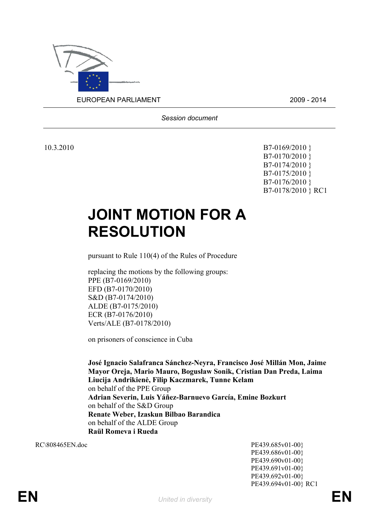

*Session document*

10.3.2010 **B7-0169/2010 }** B7-0170/2010 } B7-0174/2010 } B7-0175/2010 } B7-0176/2010 } B7-0178/2010 } RC1

## **JOINT MOTION FOR A RESOLUTION**

pursuant to Rule 110(4) of the Rules of Procedure

replacing the motions by the following groups: PPE (B7-0169/2010) EFD (B7-0170/2010) S&D (B7-0174/2010) ALDE (B7-0175/2010) ECR (B7-0176/2010) Verts/ALE (B7-0178/2010)

on prisoners of conscience in Cuba

**José Ignacio Salafranca Sánchez-Neyra, Francisco José Millán Mon, Jaime Mayor Oreja, Mario Mauro, Bogusław Sonik, Cristian Dan Preda, Laima Liucija Andrikienė, Filip Kaczmarek, Tunne Kelam** on behalf of the PPE Group **Adrian Severin, Luis Yáñez-Barnuevo García, Emine Bozkurt**  on behalf of the S&D Group **Renate Weber, Izaskun Bilbao Barandica**  on behalf of the ALDE Group **Raül Romeva i Rueda** 

<span id="page-0-0"></span>RC\808465EN.doc PE439.685v01-00} PE439.686v01-00} PE439.690v01-00} PE439.691v01-00} PE439.692v01-00} PE439.694v01-00} RC1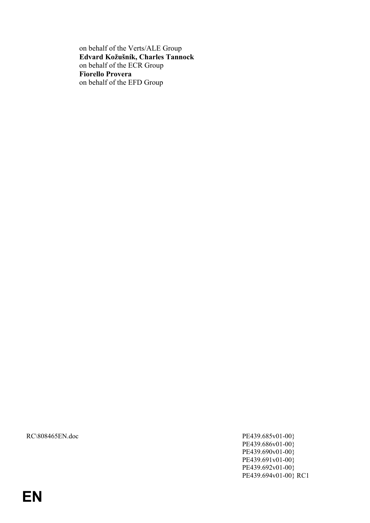on behalf of the Verts/ALE Group **Edvard Kožušník, Charles Tannock**  on behalf of the ECR Group **Fiorello Provera**  on behalf of the EFD Group

[RC\808465EN.doc PE439.685v01-00}](#page-0-0)

[PE439.686v01-00}](#page-0-0) [PE439.690v01-00}](#page-0-0) [PE439.691v01-00}](#page-0-0) [PE439.692v01-00}](#page-0-0) [PE439.694v01-00} RC1](#page-0-0)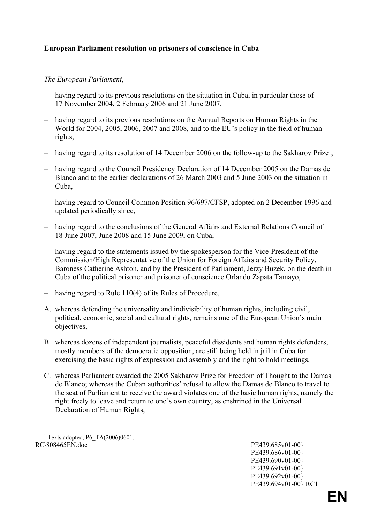## **European Parliament resolution on prisoners of conscience in Cuba**

## *The European Parliament*,

- having regard to its previous resolutions on the situation in Cuba, in particular those of 17 November 2004, 2 February 2006 and 21 June 2007,
- having regard to its previous resolutions on the Annual Reports on Human Rights in the World for 2004, 2005, 2006, 2007 and 2008, and to the EU's policy in the field of human rights,
- having regard to its resolution of 14 December 2006 on the follow-up to the Sakharov Prize<sup>1</sup>,
- having regard to the Council Presidency Declaration of 14 December 2005 on the Damas de Blanco and to the earlier declarations of 26 March 2003 and 5 June 2003 on the situation in Cuba,
- having regard to Council Common Position 96/697/CFSP, adopted on 2 December 1996 and updated periodically since,
- having regard to the conclusions of the General Affairs and External Relations Council of 18 June 2007, June 2008 and 15 June 2009, on Cuba,
- having regard to the statements issued by the spokesperson for the Vice-President of the Commission/High Representative of the Union for Foreign Affairs and Security Policy, Baroness Catherine Ashton, and by the President of Parliament, Jerzy Buzek, on the death in Cuba of the political prisoner and prisoner of conscience Orlando Zapata Tamayo,
- having regard to Rule 110(4) of its Rules of Procedure,
- A. whereas defending the universality and indivisibility of human rights, including civil, political, economic, social and cultural rights, remains one of the European Union's main objectives,
- B. whereas dozens of independent journalists, peaceful dissidents and human rights defenders, mostly members of the democratic opposition, are still being held in jail in Cuba for exercising the basic rights of expression and assembly and the right to hold meetings,
- C. whereas Parliament awarded the 2005 Sakharov Prize for Freedom of Thought to the Damas de Blanco; whereas the Cuban authorities' refusal to allow the Damas de Blanco to travel to the seat of Parliament to receive the award violates one of the basic human rights, namely the right freely to leave and return to one's own country, as enshrined in the Universal Declaration of Human Rights,

[PE439.686v01-00}](#page-0-0) [PE439.690v01-00}](#page-0-0) [PE439.691v01-00}](#page-0-0) [PE439.692v01-00}](#page-0-0) [PE439.694v01-00} RC1](#page-0-0)

[RC\808465EN.doc PE439.685v01-00}](#page-0-0) 1 Texts adopted, P6\_TA(2006)0601.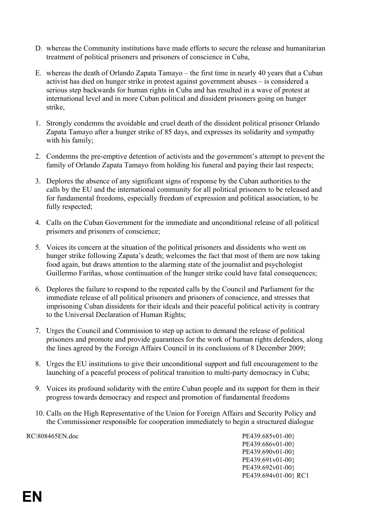- D. whereas the Community institutions have made efforts to secure the release and humanitarian treatment of political prisoners and prisoners of conscience in Cuba,
- E. whereas the death of Orlando Zapata Tamayo the first time in nearly 40 years that a Cuban activist has died on hunger strike in protest against government abuses – is considered a serious step backwards for human rights in Cuba and has resulted in a wave of protest at international level and in more Cuban political and dissident prisoners going on hunger strike,
- 1. Strongly condemns the avoidable and cruel death of the dissident political prisoner Orlando Zapata Tamayo after a hunger strike of 85 days, and expresses its solidarity and sympathy with his family;
- 2. Condemns the pre-emptive detention of activists and the government's attempt to prevent the family of Orlando Zapata Tamayo from holding his funeral and paying their last respects;
- 3. Deplores the absence of any significant signs of response by the Cuban authorities to the calls by the EU and the international community for all political prisoners to be released and for fundamental freedoms, especially freedom of expression and political association, to be fully respected;
- 4. Calls on the Cuban Government for the immediate and unconditional release of all political prisoners and prisoners of conscience;
- 5. Voices its concern at the situation of the political prisoners and dissidents who went on hunger strike following Zapata's death; welcomes the fact that most of them are now taking food again, but draws attention to the alarming state of the journalist and psychologist Guillermo Fariñas, whose continuation of the hunger strike could have fatal consequences;
- 6. Deplores the failure to respond to the repeated calls by the Council and Parliament for the immediate release of all political prisoners and prisoners of conscience, and stresses that imprisoning Cuban dissidents for their ideals and their peaceful political activity is contrary to the Universal Declaration of Human Rights;
- 7. Urges the Council and Commission to step up action to demand the release of political prisoners and promote and provide guarantees for the work of human rights defenders, along the lines agreed by the Foreign Affairs Council in its conclusions of 8 December 2009;
- 8. Urges the EU institutions to give their unconditional support and full encouragement to the launching of a peaceful process of political transition to multi-party democracy in Cuba;
- 9. Voices its profound solidarity with the entire Cuban people and its support for them in their progress towards democracy and respect and promotion of fundamental freedoms
- 10. Calls on the High Representative of the Union for Foreign Affairs and Security Policy and the Commissioner responsible for cooperation immediately to begin a structured dialogue

[RC\808465EN.doc PE439.685v01-00}](#page-0-0) [PE439.686v01-00}](#page-0-0) [PE439.690v01-00}](#page-0-0) [PE439.691v01-00}](#page-0-0) [PE439.692v01-00}](#page-0-0) [PE439.694v01-00} RC1](#page-0-0)